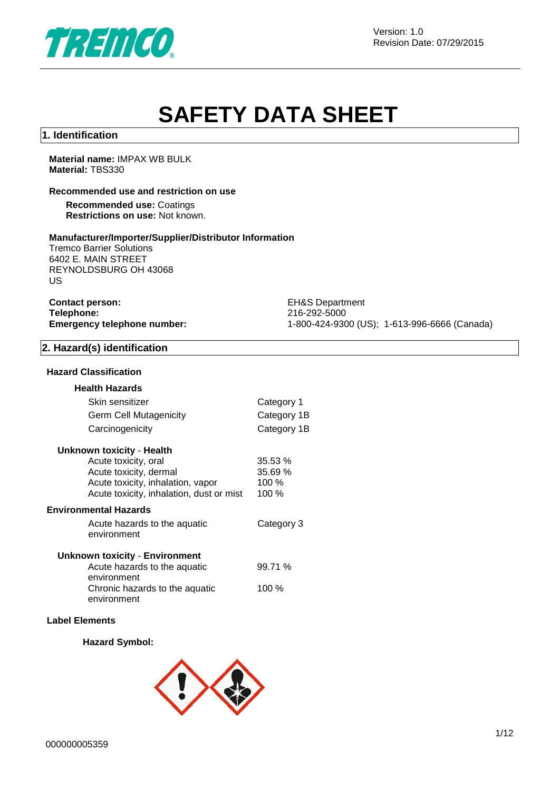

# **SAFETY DATA SHEET**

# **1. Identification**

**Material name:** IMPAX WB BULK **Material:** TBS330

#### **Recommended use and restriction on use**

**Recommended use:** Coatings **Restrictions on use:** Not known.

# **Manufacturer/Importer/Supplier/Distributor Information**

Tremco Barrier Solutions 6402 E. MAIN STREET REYNOLDSBURG OH 43068 US

| <b>Contact person:</b>             |
|------------------------------------|
| Telephone:                         |
| <b>Emergency telephone number:</b> |

**EH&S Department Telephone:** 216-292-5000 **Emergency telephone number:** 1-800-424-9300 (US); 1-613-996-6666 (Canada)

# **2. Hazard(s) identification**

#### **Hazard Classification**

| <b>Health Hazards</b>                    |             |
|------------------------------------------|-------------|
| Skin sensitizer                          | Category 1  |
| Germ Cell Mutagenicity                   | Category 1B |
| Carcinogenicity                          | Category 1B |
| Unknown toxicity - Health                |             |
| Acute toxicity, oral                     | 35.53 %     |
| Acute toxicity, dermal                   | 35.69 %     |
| Acute toxicity, inhalation, vapor        | 100 %       |
| Acute toxicity, inhalation, dust or mist | 100%        |
| <b>Environmental Hazards</b>             |             |
| Acute hazards to the aquatic             | Category 3  |
| environment                              |             |
| Unknown toxicity - Environment           |             |
| Acute hazards to the aquatic             | 99.71 %     |
| environment                              |             |
| Chronic hazards to the aquatic           | 100 $%$     |
| environment                              |             |

#### **Label Elements**

# **Hazard Symbol:**

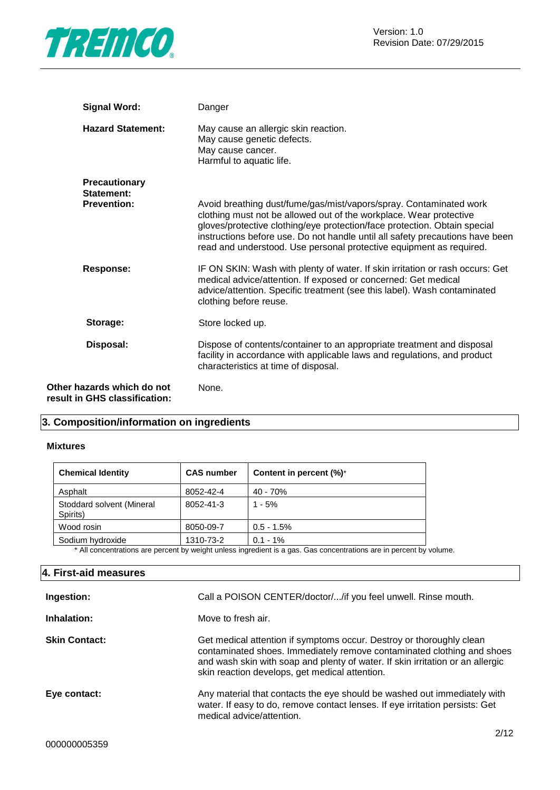

| <b>Signal Word:</b>                                         | Danger                                                                                                                                                                                                                                                                                                                                                                        |
|-------------------------------------------------------------|-------------------------------------------------------------------------------------------------------------------------------------------------------------------------------------------------------------------------------------------------------------------------------------------------------------------------------------------------------------------------------|
| <b>Hazard Statement:</b>                                    | May cause an allergic skin reaction.<br>May cause genetic defects.<br>May cause cancer.<br>Harmful to aquatic life.                                                                                                                                                                                                                                                           |
| <b>Precautionary</b><br>Statement:<br><b>Prevention:</b>    | Avoid breathing dust/fume/gas/mist/vapors/spray. Contaminated work<br>clothing must not be allowed out of the workplace. Wear protective<br>gloves/protective clothing/eye protection/face protection. Obtain special<br>instructions before use. Do not handle until all safety precautions have been<br>read and understood. Use personal protective equipment as required. |
| <b>Response:</b>                                            | IF ON SKIN: Wash with plenty of water. If skin irritation or rash occurs: Get<br>medical advice/attention. If exposed or concerned: Get medical<br>advice/attention. Specific treatment (see this label). Wash contaminated<br>clothing before reuse.                                                                                                                         |
| Storage:                                                    | Store locked up.                                                                                                                                                                                                                                                                                                                                                              |
| Disposal:                                                   | Dispose of contents/container to an appropriate treatment and disposal<br>facility in accordance with applicable laws and regulations, and product<br>characteristics at time of disposal.                                                                                                                                                                                    |
| Other hazards which do not<br>result in GHS classification: | None.                                                                                                                                                                                                                                                                                                                                                                         |

# **3. Composition/information on ingredients**

#### **Mixtures**

| <b>Chemical Identity</b>              | <b>CAS number</b>                      | Content in percent (%)*                            |
|---------------------------------------|----------------------------------------|----------------------------------------------------|
| Asphalt                               | 8052-42-4                              | 40 - 70%                                           |
| Stoddard solvent (Mineral<br>Spirits) | 8052-41-3                              | $1 - 5%$                                           |
| Wood rosin                            | 8050-09-7                              | $0.5 - 1.5%$                                       |
| Sodium hydroxide<br>$\cdots$ $\cdots$ | 1310-73-2<br>$\sim$ $\sim$ $\sim$<br>. | $0.1 - 1\%$<br>$\sim$ $\sim$<br>$\cdots$<br>$\sim$ |

\* All concentrations are percent by weight unless ingredient is a gas. Gas concentrations are in percent by volume.

# **4. First-aid measures**

| Move to fresh air.<br>Get medical attention if symptoms occur. Destroy or thoroughly clean<br>contaminated shoes. Immediately remove contaminated clothing and shoes                  |
|---------------------------------------------------------------------------------------------------------------------------------------------------------------------------------------|
|                                                                                                                                                                                       |
| and wash skin with soap and plenty of water. If skin irritation or an allergic<br>skin reaction develops, get medical attention.                                                      |
| Any material that contacts the eye should be washed out immediately with<br>water. If easy to do, remove contact lenses. If eye irritation persists: Get<br>medical advice/attention. |
|                                                                                                                                                                                       |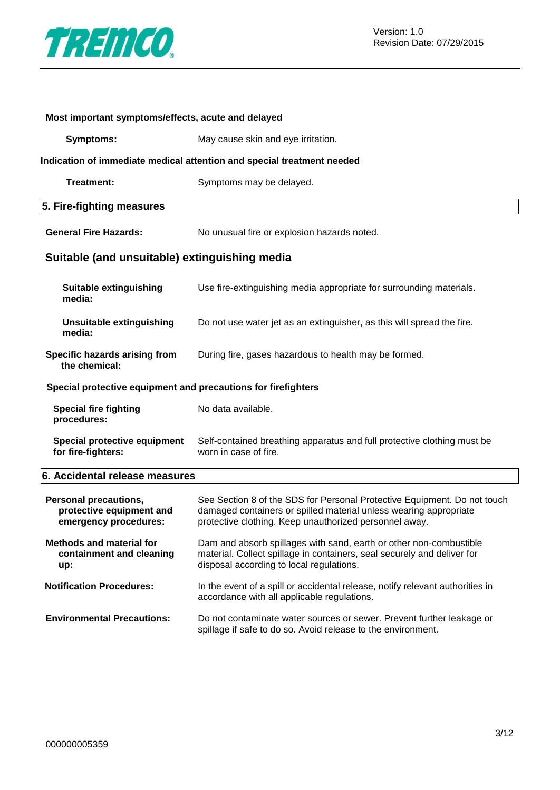

| Most important symptoms/effects, acute and delayed                                |                                                                                                                                                                                                         |  |  |  |
|-----------------------------------------------------------------------------------|---------------------------------------------------------------------------------------------------------------------------------------------------------------------------------------------------------|--|--|--|
| <b>Symptoms:</b>                                                                  | May cause skin and eye irritation.                                                                                                                                                                      |  |  |  |
| Indication of immediate medical attention and special treatment needed            |                                                                                                                                                                                                         |  |  |  |
| Treatment:                                                                        | Symptoms may be delayed.                                                                                                                                                                                |  |  |  |
| 5. Fire-fighting measures                                                         |                                                                                                                                                                                                         |  |  |  |
| <b>General Fire Hazards:</b>                                                      | No unusual fire or explosion hazards noted.                                                                                                                                                             |  |  |  |
| Suitable (and unsuitable) extinguishing media                                     |                                                                                                                                                                                                         |  |  |  |
| Suitable extinguishing<br>media:                                                  | Use fire-extinguishing media appropriate for surrounding materials.                                                                                                                                     |  |  |  |
| <b>Unsuitable extinguishing</b><br>media:                                         | Do not use water jet as an extinguisher, as this will spread the fire.                                                                                                                                  |  |  |  |
| Specific hazards arising from<br>the chemical:                                    | During fire, gases hazardous to health may be formed.                                                                                                                                                   |  |  |  |
| Special protective equipment and precautions for firefighters                     |                                                                                                                                                                                                         |  |  |  |
| <b>Special fire fighting</b><br>procedures:                                       | No data available.                                                                                                                                                                                      |  |  |  |
| <b>Special protective equipment</b><br>for fire-fighters:                         | Self-contained breathing apparatus and full protective clothing must be<br>worn in case of fire.                                                                                                        |  |  |  |
| 6. Accidental release measures                                                    |                                                                                                                                                                                                         |  |  |  |
| <b>Personal precautions,</b><br>protective equipment and<br>emergency procedures: | See Section 8 of the SDS for Personal Protective Equipment. Do not touch<br>damaged containers or spilled material unless wearing appropriate<br>protective clothing. Keep unauthorized personnel away. |  |  |  |
| <b>Methods and material for</b><br>containment and cleaning<br>up:                | Dam and absorb spillages with sand, earth or other non-combustible<br>material. Collect spillage in containers, seal securely and deliver for<br>disposal according to local regulations.               |  |  |  |
| <b>Notification Procedures:</b>                                                   | In the event of a spill or accidental release, notify relevant authorities in<br>accordance with all applicable regulations.                                                                            |  |  |  |
| <b>Environmental Precautions:</b>                                                 | Do not contaminate water sources or sewer. Prevent further leakage or<br>spillage if safe to do so. Avoid release to the environment.                                                                   |  |  |  |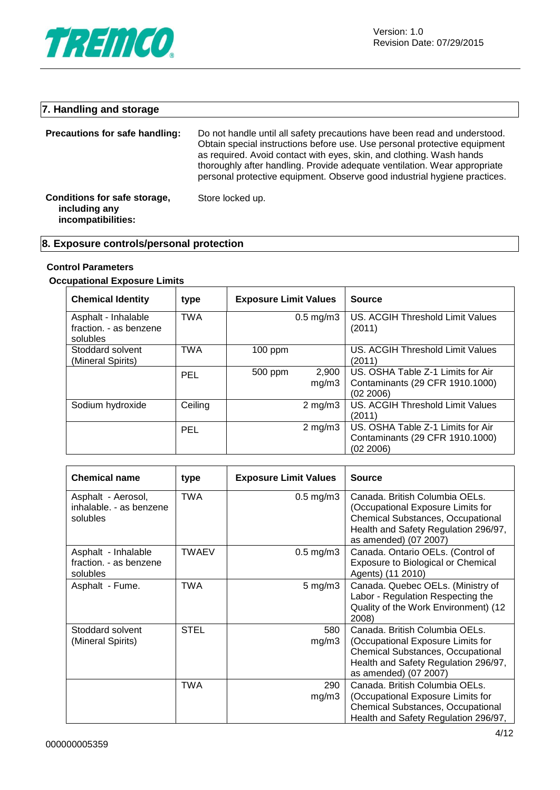

# **7. Handling and storage**

| Precautions for safe handling:                                      | Do not handle until all safety precautions have been read and understood.<br>Obtain special instructions before use. Use personal protective equipment<br>as required. Avoid contact with eyes, skin, and clothing. Wash hands<br>thoroughly after handling. Provide adequate ventilation. Wear appropriate<br>personal protective equipment. Observe good industrial hygiene practices. |
|---------------------------------------------------------------------|------------------------------------------------------------------------------------------------------------------------------------------------------------------------------------------------------------------------------------------------------------------------------------------------------------------------------------------------------------------------------------------|
| Conditions for safe storage,<br>including any<br>incompatibilities: | Store locked up.                                                                                                                                                                                                                                                                                                                                                                         |

# **8. Exposure controls/personal protection**

# **Control Parameters**

# **Occupational Exposure Limits**

| <b>Chemical Identity</b>                                  | type       | <b>Exposure Limit Values</b> |                      | <b>Source</b>                                                                     |
|-----------------------------------------------------------|------------|------------------------------|----------------------|-----------------------------------------------------------------------------------|
| Asphalt - Inhalable<br>fraction. - as benzene<br>solubles | <b>TWA</b> |                              | $0.5 \text{ mg/m}$ 3 | US. ACGIH Threshold Limit Values<br>(2011)                                        |
| Stoddard solvent<br>(Mineral Spirits)                     | <b>TWA</b> | $100$ ppm                    |                      | US. ACGIH Threshold Limit Values<br>(2011)                                        |
|                                                           | PEL        | 500 ppm                      | 2,900<br>mg/m3       | US. OSHA Table Z-1 Limits for Air<br>Contaminants (29 CFR 1910.1000)<br>(02 2006) |
| Sodium hydroxide                                          | Ceiling    |                              | $2 \text{ mg/m}$     | US. ACGIH Threshold Limit Values<br>(2011)                                        |
|                                                           | PEL        |                              | $2 \text{ mg/m}$     | US. OSHA Table Z-1 Limits for Air<br>Contaminants (29 CFR 1910.1000)<br>(02 2006) |

| <b>Chemical name</b>                                      | type  | <b>Exposure Limit Values</b> | <b>Source</b>                                                                                                                                                                    |
|-----------------------------------------------------------|-------|------------------------------|----------------------------------------------------------------------------------------------------------------------------------------------------------------------------------|
| Asphalt - Aerosol,<br>inhalable. - as benzene<br>solubles | TWA   | $0.5 \text{ mg/m}$ 3         | Canada. British Columbia OELs.<br>(Occupational Exposure Limits for<br><b>Chemical Substances, Occupational</b><br>Health and Safety Regulation 296/97,<br>as amended) (07 2007) |
| Asphalt - Inhalable<br>fraction. - as benzene<br>solubles | TWAEV | $0.5 \text{ mg/m}$ 3         | Canada. Ontario OELs. (Control of<br>Exposure to Biological or Chemical<br>Agents) (11 2010)                                                                                     |
| Asphalt - Fume.                                           | TWA   | $5 \text{ mg/m}$ 3           | Canada. Quebec OELs. (Ministry of<br>Labor - Regulation Respecting the<br>Quality of the Work Environment) (12<br>2008)                                                          |
| Stoddard solvent<br>(Mineral Spirits)                     | STEL  | 580<br>mg/m3                 | Canada. British Columbia OELs.<br>(Occupational Exposure Limits for<br>Chemical Substances, Occupational<br>Health and Safety Regulation 296/97,<br>as amended) (07 2007)        |
|                                                           | TWA   | 290<br>mg/m3                 | Canada. British Columbia OELs.<br>(Occupational Exposure Limits for<br>Chemical Substances, Occupational<br>Health and Safety Regulation 296/97,                                 |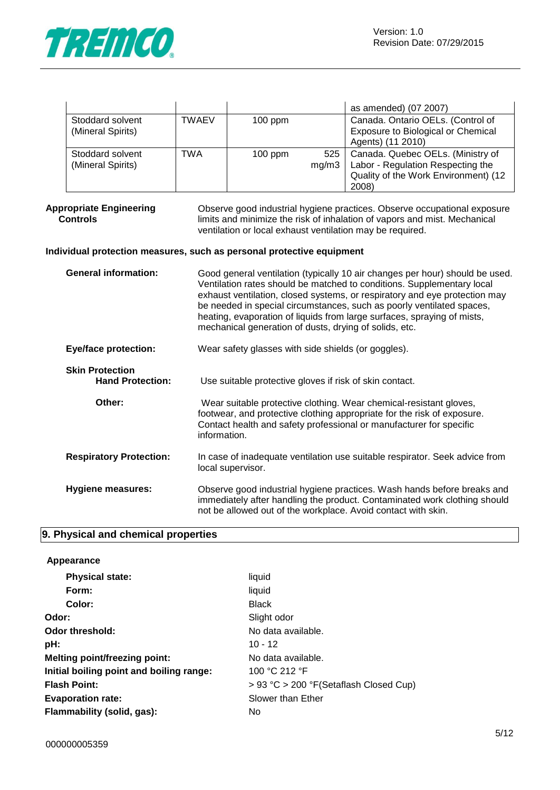

|                                       |              |           |       | as amended) (07 2007)                                                                                                         |
|---------------------------------------|--------------|-----------|-------|-------------------------------------------------------------------------------------------------------------------------------|
| Stoddard solvent<br>(Mineral Spirits) | <b>TWAEV</b> | $100$ ppm |       | Canada. Ontario OELs. (Control of<br>Exposure to Biological or Chemical<br>Agents) (11 2010)                                  |
| Stoddard solvent<br>(Mineral Spirits) | TWA          | $100$ ppm | mg/m3 | 525   Canada. Quebec OELs. (Ministry of<br>Labor - Regulation Respecting the<br>Quality of the Work Environment) (12<br>2008) |

#### **Appropriate Engineering Controls**

Observe good industrial hygiene practices. Observe occupational exposure limits and minimize the risk of inhalation of vapors and mist. Mechanical ventilation or local exhaust ventilation may be required.

# **Individual protection measures, such as personal protective equipment**

| <b>General information:</b>                       | Good general ventilation (typically 10 air changes per hour) should be used.<br>Ventilation rates should be matched to conditions. Supplementary local<br>exhaust ventilation, closed systems, or respiratory and eye protection may<br>be needed in special circumstances, such as poorly ventilated spaces,<br>heating, evaporation of liquids from large surfaces, spraying of mists,<br>mechanical generation of dusts, drying of solids, etc. |
|---------------------------------------------------|----------------------------------------------------------------------------------------------------------------------------------------------------------------------------------------------------------------------------------------------------------------------------------------------------------------------------------------------------------------------------------------------------------------------------------------------------|
| <b>Eye/face protection:</b>                       | Wear safety glasses with side shields (or goggles).                                                                                                                                                                                                                                                                                                                                                                                                |
| <b>Skin Protection</b><br><b>Hand Protection:</b> | Use suitable protective gloves if risk of skin contact.                                                                                                                                                                                                                                                                                                                                                                                            |
| Other:                                            | Wear suitable protective clothing. Wear chemical-resistant gloves,<br>footwear, and protective clothing appropriate for the risk of exposure.<br>Contact health and safety professional or manufacturer for specific<br>information.                                                                                                                                                                                                               |
| <b>Respiratory Protection:</b>                    | In case of inadequate ventilation use suitable respirator. Seek advice from<br>local supervisor.                                                                                                                                                                                                                                                                                                                                                   |
| Hygiene measures:                                 | Observe good industrial hygiene practices. Wash hands before breaks and<br>immediately after handling the product. Contaminated work clothing should<br>not be allowed out of the workplace. Avoid contact with skin.                                                                                                                                                                                                                              |

# **9. Physical and chemical properties**

| Appearance                               |                                        |
|------------------------------------------|----------------------------------------|
| <b>Physical state:</b>                   | liquid                                 |
| Form:                                    | liquid                                 |
| Color:                                   | <b>Black</b>                           |
| Odor:                                    | Slight odor                            |
| Odor threshold:                          | No data available.                     |
| pH:                                      | $10 - 12$                              |
| <b>Melting point/freezing point:</b>     | No data available.                     |
| Initial boiling point and boiling range: | 100 °C 212 °F                          |
| <b>Flash Point:</b>                      | > 93 °C > 200 °F(Setaflash Closed Cup) |
| <b>Evaporation rate:</b>                 | Slower than Ether                      |
| Flammability (solid, gas):               | No                                     |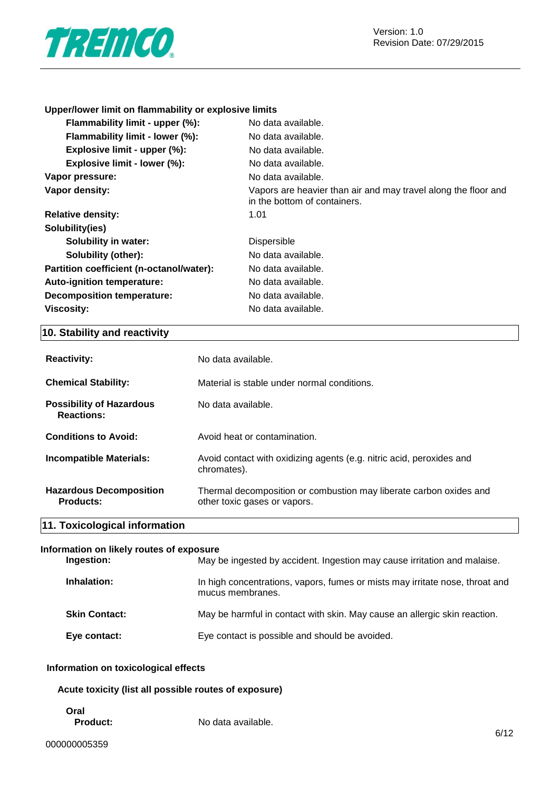

# **Upper/lower limit on flammability or explosive limits**

| No data available.                                                                             |
|------------------------------------------------------------------------------------------------|
| No data available.                                                                             |
| No data available.                                                                             |
| No data available.                                                                             |
| No data available.                                                                             |
| Vapors are heavier than air and may travel along the floor and<br>in the bottom of containers. |
| 1.01                                                                                           |
|                                                                                                |
| <b>Dispersible</b>                                                                             |
| No data available.                                                                             |
| No data available.                                                                             |
| No data available.                                                                             |
| No data available.                                                                             |
| No data available.                                                                             |
|                                                                                                |

# **10. Stability and reactivity**

| <b>Reactivity:</b>                                   | No data available.                                                                                 |
|------------------------------------------------------|----------------------------------------------------------------------------------------------------|
| <b>Chemical Stability:</b>                           | Material is stable under normal conditions.                                                        |
| <b>Possibility of Hazardous</b><br><b>Reactions:</b> | No data available.                                                                                 |
| <b>Conditions to Avoid:</b>                          | Avoid heat or contamination.                                                                       |
| <b>Incompatible Materials:</b>                       | Avoid contact with oxidizing agents (e.g. nitric acid, peroxides and<br>chromates).                |
| <b>Hazardous Decomposition</b><br><b>Products:</b>   | Thermal decomposition or combustion may liberate carbon oxides and<br>other toxic gases or vapors. |
| 11. Toxicological information                        |                                                                                                    |

|  |  | --- |  |  |  |
|--|--|-----|--|--|--|

| Information on likely routes of exposure |                                                                                                  |  |
|------------------------------------------|--------------------------------------------------------------------------------------------------|--|
| Ingestion:                               | May be ingested by accident. Ingestion may cause irritation and malaise.                         |  |
| Inhalation:                              | In high concentrations, vapors, fumes or mists may irritate nose, throat and<br>mucus membranes. |  |
| <b>Skin Contact:</b>                     | May be harmful in contact with skin. May cause an allergic skin reaction.                        |  |
| Eye contact:                             | Eye contact is possible and should be avoided.                                                   |  |

# **Information on toxicological effects**

# **Acute toxicity (list all possible routes of exposure)**

**Oral**

**Product:** No data available.

٦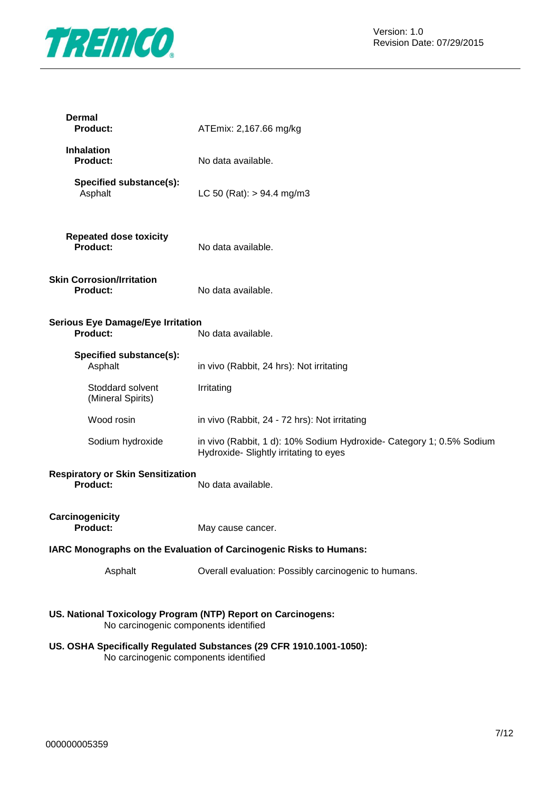

| <b>Dermal</b><br><b>Product:</b>                                                                      | ATEmix: 2,167.66 mg/kg                                                                                         |
|-------------------------------------------------------------------------------------------------------|----------------------------------------------------------------------------------------------------------------|
| <b>Inhalation</b><br><b>Product:</b>                                                                  | No data available.                                                                                             |
| Specified substance(s):<br>Asphalt                                                                    | LC 50 (Rat): $> 94.4$ mg/m3                                                                                    |
| <b>Repeated dose toxicity</b><br><b>Product:</b>                                                      | No data available.                                                                                             |
| <b>Skin Corrosion/Irritation</b><br><b>Product:</b>                                                   | No data available.                                                                                             |
| <b>Serious Eye Damage/Eye Irritation</b><br><b>Product:</b>                                           | No data available.                                                                                             |
| Specified substance(s):<br>Asphalt                                                                    | in vivo (Rabbit, 24 hrs): Not irritating                                                                       |
| Stoddard solvent<br>(Mineral Spirits)                                                                 | Irritating                                                                                                     |
| Wood rosin                                                                                            | in vivo (Rabbit, 24 - 72 hrs): Not irritating                                                                  |
| Sodium hydroxide                                                                                      | in vivo (Rabbit, 1 d): 10% Sodium Hydroxide- Category 1; 0.5% Sodium<br>Hydroxide- Slightly irritating to eyes |
| <b>Respiratory or Skin Sensitization</b><br><b>Product:</b>                                           | No data available.                                                                                             |
| Carcinogenicity<br><b>Product:</b>                                                                    | May cause cancer.                                                                                              |
|                                                                                                       | IARC Monographs on the Evaluation of Carcinogenic Risks to Humans:                                             |
| Asphalt                                                                                               | Overall evaluation: Possibly carcinogenic to humans.                                                           |
| US. National Toxicology Program (NTP) Report on Carcinogens:<br>No carcinogenic components identified |                                                                                                                |

**US. OSHA Specifically Regulated Substances (29 CFR 1910.1001-1050):** No carcinogenic components identified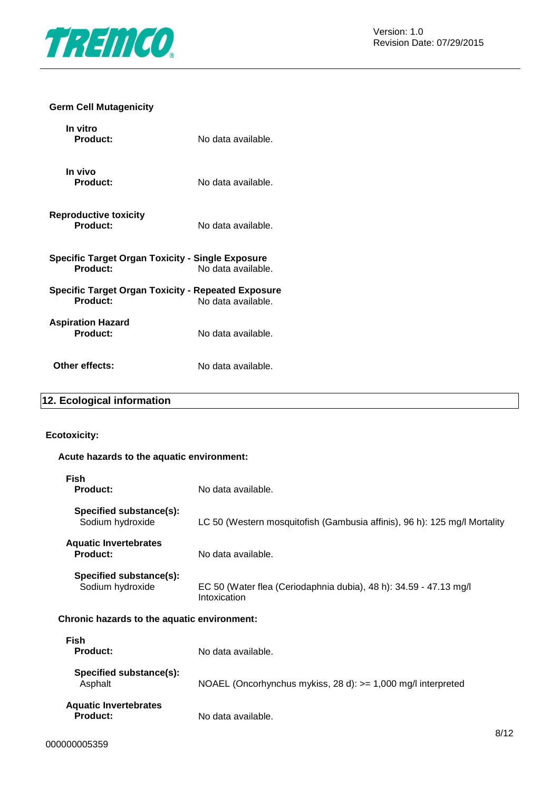

# **Germ Cell Mutagenicity**

| In vitro<br>Product:                                                  | No data available. |
|-----------------------------------------------------------------------|--------------------|
| In vivo<br><b>Product:</b>                                            | No data available. |
| <b>Reproductive toxicity</b><br>Product:                              | No data available. |
| Specific Target Organ Toxicity - Single Exposure<br>Product:          | No data available. |
| <b>Specific Target Organ Toxicity - Repeated Exposure</b><br>Product: | No data available. |
| <b>Aspiration Hazard</b><br>Product:                                  | No data available. |
| Other effects:                                                        | No data available. |

# **12. Ecological information**

# **Ecotoxicity:**

# **Acute hazards to the aquatic environment:**

| <b>Fish</b><br><b>Product:</b>                  | No data available.                                                                |
|-------------------------------------------------|-----------------------------------------------------------------------------------|
| Specified substance(s):<br>Sodium hydroxide     | LC 50 (Western mosquitofish (Gambusia affinis), 96 h): 125 mg/l Mortality         |
| <b>Aquatic Invertebrates</b><br><b>Product:</b> | No data available.                                                                |
| Specified substance(s):<br>Sodium hydroxide     | EC 50 (Water flea (Ceriodaphnia dubia), 48 h): 34.59 - 47.13 mg/l<br>Intoxication |
| Chronic hazards to the aquatic environment:     |                                                                                   |
| <b>Fish</b><br><b>Product:</b>                  | No data available.                                                                |
| Specified substance(s):<br>Asphalt              | NOAEL (Oncorhynchus mykiss, 28 d): $>= 1,000$ mg/l interpreted                    |
| <b>Aquatic Invertebrates</b><br><b>Product:</b> | No data available.                                                                |

No data available.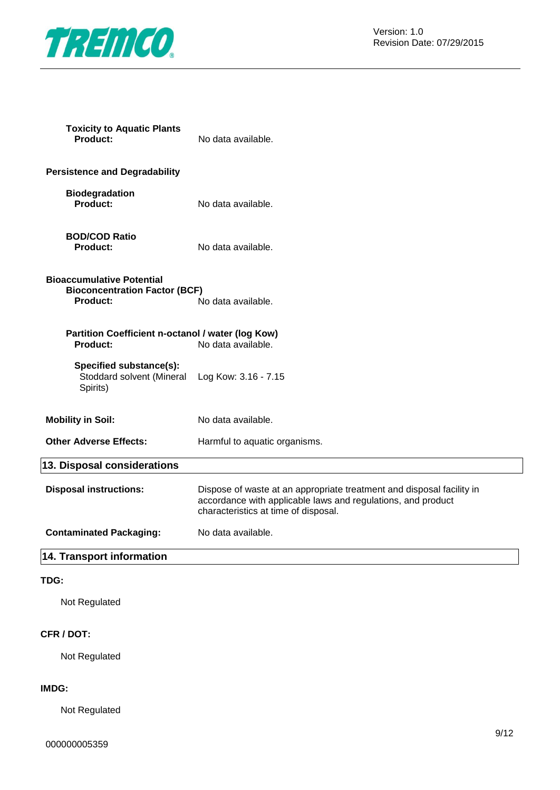

**Toxicity to Aquatic Plants**

| <b>Product:</b>                                                                             | No data available.                                                                                                                                                            |
|---------------------------------------------------------------------------------------------|-------------------------------------------------------------------------------------------------------------------------------------------------------------------------------|
| <b>Persistence and Degradability</b>                                                        |                                                                                                                                                                               |
| <b>Biodegradation</b><br>Product:                                                           | No data available.                                                                                                                                                            |
| <b>BOD/COD Ratio</b><br><b>Product:</b>                                                     | No data available.                                                                                                                                                            |
| <b>Bioaccumulative Potential</b><br><b>Bioconcentration Factor (BCF)</b><br><b>Product:</b> | No data available.                                                                                                                                                            |
| Partition Coefficient n-octanol / water (log Kow)<br>Product:                               | No data available.                                                                                                                                                            |
| Specified substance(s):<br>Stoddard solvent (Mineral<br>Spirits)                            | Log Kow: 3.16 - 7.15                                                                                                                                                          |
| <b>Mobility in Soil:</b>                                                                    | No data available.                                                                                                                                                            |
| <b>Other Adverse Effects:</b>                                                               | Harmful to aquatic organisms.                                                                                                                                                 |
| 13. Disposal considerations                                                                 |                                                                                                                                                                               |
| <b>Disposal instructions:</b>                                                               | Dispose of waste at an appropriate treatment and disposal facility in<br>accordance with applicable laws and regulations, and product<br>characteristics at time of disposal. |
| <b>Contaminated Packaging:</b>                                                              | No data available.                                                                                                                                                            |
| 14. Transport information                                                                   |                                                                                                                                                                               |
| TDG:                                                                                        |                                                                                                                                                                               |
| Not Regulated                                                                               |                                                                                                                                                                               |
| CFR / DOT:                                                                                  |                                                                                                                                                                               |

Not Regulated

# **IMDG:**

Not Regulated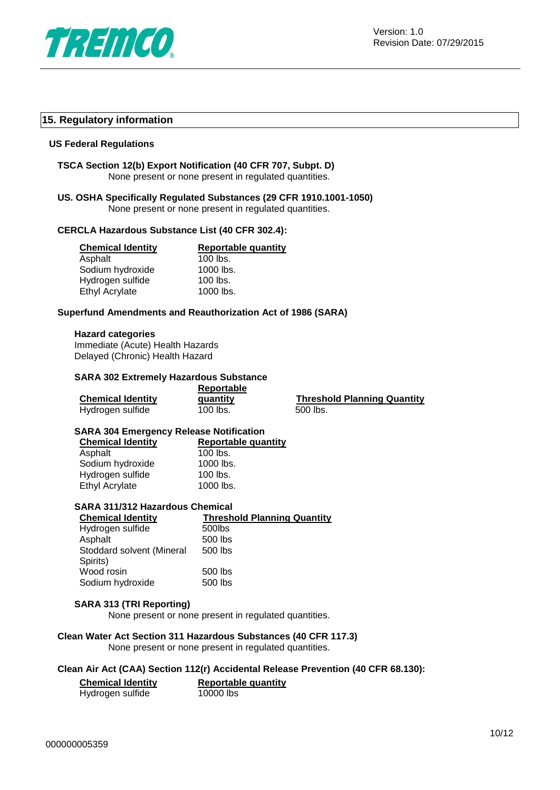

# **15. Regulatory information**

#### **US Federal Regulations**

**TSCA Section 12(b) Export Notification (40 CFR 707, Subpt. D)** None present or none present in regulated quantities.

## **US. OSHA Specifically Regulated Substances (29 CFR 1910.1001-1050)** None present or none present in regulated quantities.

# **CERCLA Hazardous Substance List (40 CFR 302.4):**

| <b>Chemical Identity</b> | <b>Reportable quantity</b> |
|--------------------------|----------------------------|
| Asphalt                  | $100$ lbs.                 |
| Sodium hydroxide         | 1000 lbs.                  |
| Hydrogen sulfide         | $100$ lbs.                 |
| <b>Ethyl Acrylate</b>    | 1000 lbs.                  |

#### **Superfund Amendments and Reauthorization Act of 1986 (SARA)**

#### **Hazard categories**

Immediate (Acute) Health Hazards Delayed (Chronic) Health Hazard

# **SARA 302 Extremely Hazardous Substance**

|                          | <b>Reportable</b> |                                    |  |
|--------------------------|-------------------|------------------------------------|--|
| <b>Chemical Identity</b> | quantity          | <b>Threshold Planning Quantity</b> |  |
| Hydrogen sulfide         | 100 lbs.          | 500 lbs.                           |  |

#### **SARA 304 Emergency Release Notification**

| <b>Chemical Identity</b> | <b>Reportable quantity</b> |
|--------------------------|----------------------------|
| Asphalt                  | $100$ lbs.                 |
| Sodium hydroxide         | 1000 lbs.                  |
| Hydrogen sulfide         | $100$ lbs.                 |
| <b>Ethyl Acrylate</b>    | 1000 lbs.                  |

# **SARA 311/312 Hazardous Chemical**

| <b>Chemical Identity</b>  | <b>Threshold Planning Quantity</b> |
|---------------------------|------------------------------------|
| Hydrogen sulfide          | 500lbs                             |
| Asphalt                   | 500 lbs                            |
| Stoddard solvent (Mineral | 500 lbs                            |
| Spirits)                  |                                    |
| Wood rosin                | 500 lbs                            |
| Sodium hydroxide          | 500 lbs                            |
|                           |                                    |

#### **SARA 313 (TRI Reporting)**

None present or none present in regulated quantities.

#### **Clean Water Act Section 311 Hazardous Substances (40 CFR 117.3)**

None present or none present in regulated quantities.

#### **Clean Air Act (CAA) Section 112(r) Accidental Release Prevention (40 CFR 68.130):**

| <b>Chemical Identity</b> | <b>Reportable quantity</b> |  |
|--------------------------|----------------------------|--|
| Hydrogen sulfide         | 10000 lbs                  |  |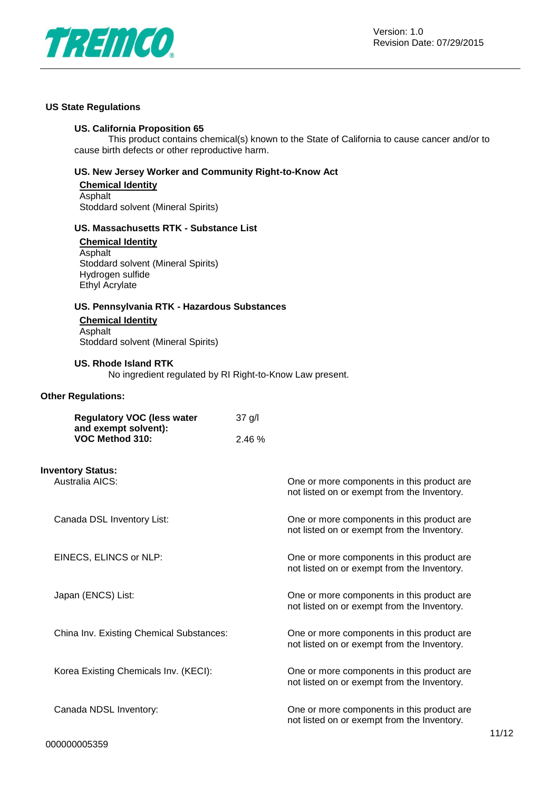

# **US State Regulations**

# **US. California Proposition 65**

This product contains chemical(s) known to the State of California to cause cancer and/or to cause birth defects or other reproductive harm.

## **US. New Jersey Worker and Community Right-to-Know Act**

#### **Chemical Identity Asphalt** Stoddard solvent (Mineral Spirits)

# **US. Massachusetts RTK - Substance List**

**Chemical Identity** Asphalt Stoddard solvent (Mineral Spirits) Hydrogen sulfide Ethyl Acrylate

# **US. Pennsylvania RTK - Hazardous Substances**

**Chemical Identity** Asphalt Stoddard solvent (Mineral Spirits)

#### **US. Rhode Island RTK**

No ingredient regulated by RI Right-to-Know Law present.

# **Other Regulations:**

| <b>Regulatory VOC (less water</b><br>and exempt solvent):<br>VOC Method 310: | $37$ g/l |                                                                                           |
|------------------------------------------------------------------------------|----------|-------------------------------------------------------------------------------------------|
|                                                                              | 2.46%    |                                                                                           |
| <b>Inventory Status:</b><br>Australia AICS:                                  |          | One or more components in this product are<br>not listed on or exempt from the Inventory. |
| Canada DSL Inventory List:                                                   |          | One or more components in this product are<br>not listed on or exempt from the Inventory. |
| EINECS, ELINCS or NLP:                                                       |          | One or more components in this product are<br>not listed on or exempt from the Inventory. |
| Japan (ENCS) List:                                                           |          | One or more components in this product are<br>not listed on or exempt from the Inventory. |
| China Inv. Existing Chemical Substances:                                     |          | One or more components in this product are<br>not listed on or exempt from the Inventory. |
| Korea Existing Chemicals Inv. (KECI):                                        |          | One or more components in this product are<br>not listed on or exempt from the Inventory. |
| Canada NDSL Inventory:                                                       |          | One or more components in this product are<br>not listed on or exempt from the Inventory. |